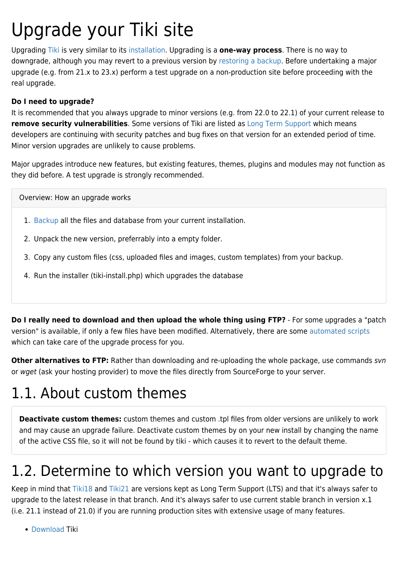# Upgrade your Tiki site

Upgrading [Tiki](https://tiki.org) is very similar to its [installation](https://doc.tiki.org/Installation). Upgrading is a **one-way process**. There is no way to downgrade, although you may revert to a previous version by [restoring a backup.](https://doc.tiki.org/Backup) Before undertaking a major upgrade (e.g. from 21.x to 23.x) perform a test upgrade on a non-production site before proceeding with the real upgrade.

#### **Do I need to upgrade?**

It is recommended that you always upgrade to minor versions (e.g. from 22.0 to 22.1) of your current release to **remove security vulnerabilities**. Some versions of Tiki are listed as [Long Term Support](http://dev.tiki.org/Version%2BLifecycle) which means developers are continuing with security patches and bug fixes on that version for an extended period of time. Minor version upgrades are unlikely to cause problems.

Major upgrades introduce new features, but existing features, themes, plugins and modules may not function as they did before. A test upgrade is strongly recommended.

Overview: How an upgrade works

- 1. [Backup](https://doc.tiki.org/Backup) all the files and database from your current installation.
- 2. Unpack the new version, preferrably into a empty folder.
- 3. Copy any custom files (css, uploaded files and images, custom templates) from your backup.
- 4. Run the installer (tiki-install.php) which upgrades the database

**Do I really need to download and then upload the whole thing using FTP?** - For some upgrades a "patch version" is available, if only a few files have been modified. Alternatively, there are some [automated scripts](http://tiki.org/1-click+installers) which can take care of the upgrade process for you.

**Other alternatives to FTP:** Rather than downloading and re-uploading the whole package, use commands svn or wget (ask your hosting provider) to move the files directly from SourceForge to your server.

## 1.1. About custom themes

**Deactivate custom themes:** custom themes and custom .tpl files from older versions are unlikely to work and may cause an upgrade failure. Deactivate custom themes by on your new install by changing the name of the active CSS file, so it will not be found by tiki - which causes it to revert to the default theme.

## 1.2. Determine to which version you want to upgrade to

Keep in mind that [Tiki18](https://doc.tiki.org/Tiki18) and [Tiki21](https://doc.tiki.org/Tiki21) are versions kept as Long Term Support (LTS) and that it's always safer to upgrade to the latest release in that branch. And it's always safer to use current stable branch in version x.1 (i.e. 21.1 instead of 21.0) if you are running production sites with extensive usage of many features.

[Download](http://info.tiki.org/Download) Tiki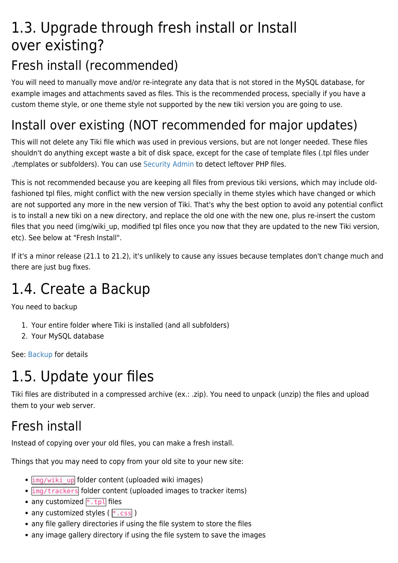## 1.3. Upgrade through fresh install or Install over existing?

### Fresh install (recommended)

You will need to manually move and/or re-integrate any data that is not stored in the MySQL database, for example images and attachments saved as files. This is the recommended process, specially if you have a custom theme style, or one theme style not supported by the new tiki version you are going to use.

### Install over existing (NOT recommended for major updates)

This will not delete any Tiki file which was used in previous versions, but are not longer needed. These files shouldn't do anything except waste a bit of disk space, except for the case of template files (.tpl files under ./templates or subfolders). You can use [Security Admin](https://doc.tiki.org/Security-Admin) to detect leftover PHP files.

This is not recommended because you are keeping all files from previous tiki versions, which may include oldfashioned tpl files, might conflict with the new version specially in theme styles which have changed or which are not supported any more in the new version of Tiki. That's why the best option to avoid any potential conflict is to install a new tiki on a new directory, and replace the old one with the new one, plus re-insert the custom files that you need (img/wiki up, modified tpl files once you now that they are updated to the new Tiki version, etc). See below at "Fresh Install".

If it's a minor release (21.1 to 21.2), it's unlikely to cause any issues because templates don't change much and there are just bug fixes.

## 1.4. Create a Backup

You need to backup

- 1. Your entire folder where Tiki is installed (and all subfolders)
- 2. Your MySQL database

See: [Backup](https://doc.tiki.org/Backup) for details

# 1.5. Update your files

Tiki files are distributed in a compressed archive (ex.: .zip). You need to unpack (unzip) the files and upload them to your web server.

### Fresh install

Instead of copying over your old files, you can make a fresh install.

Things that you may need to copy from your old site to your new site:

- $\cdot$  img/wiki up folder content (uploaded wiki images)
- $\cdot$   $\frac{img}{trackers}$  folder content (uploaded images to tracker items)
- any customized  $*$ . tpl files
- any customized styles ( $*$ .css)
- any file gallery directories if using the file system to store the files
- any image gallery directory if using the file system to save the images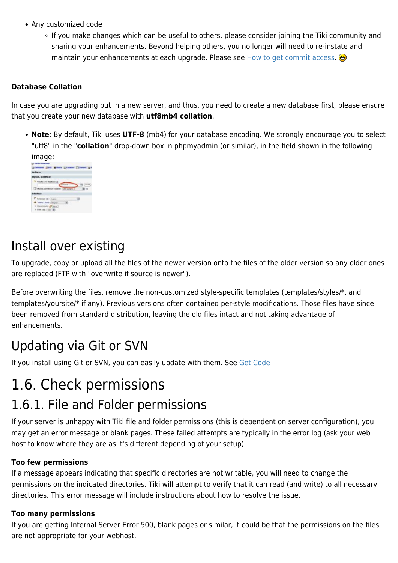- Any customized code
	- o If you make changes which can be useful to others, please consider joining the Tiki community and sharing your enhancements. Beyond helping others, you no longer will need to re-instate and maintain your enhancements at each upgrade. Please see [How to get commit access.](http://dev.tiki.org/How%20to%20get%20commit%20access)

#### **Database Collation**

In case you are upgrading but in a new server, and thus, you need to create a new database first, please ensure that you create your new database with **utf8mb4 collation**.

**Note**: By default, Tiki uses **UTF-8** (mb4) for your database encoding. We strongly encourage you to select "utf8" in the "**collation**" drop-down box in phpmyadmin (or similar), in the field shown in the following image:

| ππαγτ.                                           |                  |  |
|--------------------------------------------------|------------------|--|
| <b>L. Europen Jun</b>                            |                  |  |
| <b>(Dealers ESG. Blinks EVent</b>                |                  |  |
| <b>Actions</b>                                   |                  |  |
| <b>RySOL localhost</b>                           |                  |  |
| <b>ED MARKS</b>                                  |                  |  |
| dertace                                          | <b>WE WINN R</b> |  |
| <b>FOURIE G. Lington</b>                         |                  |  |
| Trame / Bryle   clays                            |                  |  |
| Custom infor JSI Aver!<br>a Fort sine: Lays -162 |                  |  |

#### Install over existing

To upgrade, copy or upload all the files of the newer version onto the files of the older version so any older ones are replaced (FTP with "overwrite if source is newer").

Before overwriting the files, remove the non-customized style-specific templates (templates/styles/\*, and templates/yoursite/\* if any). Previous versions often contained per-style modifications. Those files have since been removed from standard distribution, leaving the old files intact and not taking advantage of enhancements.

### Updating via Git or SVN

If you install using Git or SVN, you can easily update with them. See [Get Code](http://dev.tiki.org/Get%20Code)

### 1.6. Check permissions

#### 1.6.1. File and Folder permissions

If your server is unhappy with Tiki file and folder permissions (this is dependent on server configuration), you may get an error message or blank pages. These failed attempts are typically in the error log (ask your web host to know where they are as it's different depending of your setup)

#### **Too few permissions**

If a message appears indicating that specific directories are not writable, you will need to change the permissions on the indicated directories. Tiki will attempt to verify that it can read (and write) to all necessary directories. This error message will include instructions about how to resolve the issue.

#### **Too many permissions**

If you are getting Internal Server Error 500, blank pages or similar, it could be that the permissions on the files are not appropriate for your webhost.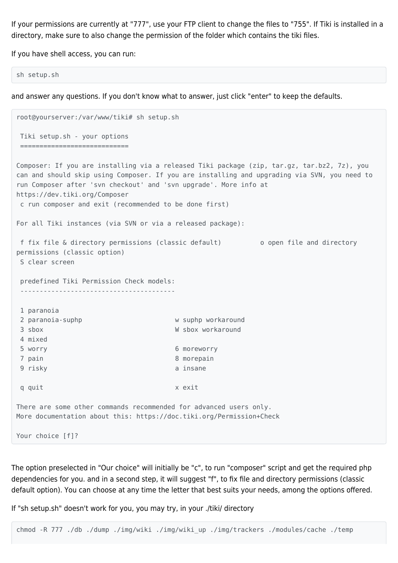If your permissions are currently at "777", use your FTP client to change the files to "755". If Tiki is installed in a directory, make sure to also change the permission of the folder which contains the tiki files.

If you have shell access, you can run:

```
sh setup.sh
```
and answer any questions. If you don't know what to answer, just click "enter" to keep the defaults.

```
root@yourserver:/var/www/tiki# sh setup.sh
 Tiki setup.sh - your options
 ============================
Composer: If you are installing via a released Tiki package (zip, tar.gz, tar.bz2, 7z), you
can and should skip using Composer. If you are installing and upgrading via SVN, you need to
run Composer after 'svn checkout' and 'svn upgrade'. More info at
https://dev.tiki.org/Composer
 c run composer and exit (recommended to be done first)
For all Tiki instances (via SVN or via a released package):
 f fix file & directory permissions (classic default) o open file and directory
permissions (classic option)
 S clear screen
 predefined Tiki Permission Check models:
    ----------------------------------------
 1 paranoia
2 paranoia-suphp w suphp workaround
 3 sbox W sbox workaround
 4 mixed
 5 worry 6 moreworry
7 pain 8 morepain
9 risky a insane
 q quit x exit
There are some other commands recommended for advanced users only.
More documentation about this: https://doc.tiki.org/Permission+Check
Your choice [f]?
```
The option preselected in "Our choice" will initially be "c", to run "composer" script and get the required php dependencies for you. and in a second step, it will suggest "f", to fix file and directory permissions (classic default option). You can choose at any time the letter that best suits your needs, among the options offered.

If "sh setup.sh" doesn't work for you, you may try, in your ./tiki/ directory

chmod -R 777 ./db ./dump ./img/wiki ./img/wiki\_up ./img/trackers ./modules/cache ./temp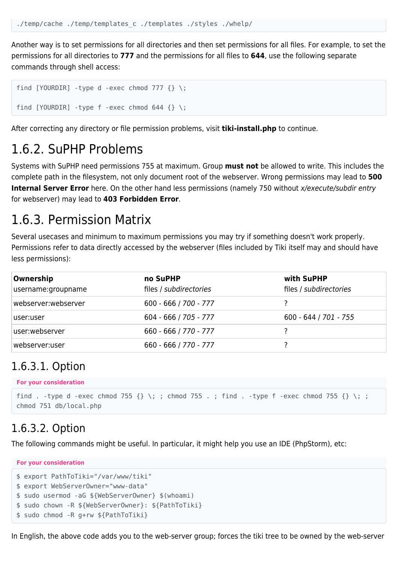Another way is to set permissions for all directories and then set permissions for all files. For example, to set the permissions for all directories to **777** and the permissions for all files to **644**, use the following separate commands through shell access:

```
find [YOURDIR] -type d -exec chmod 777 {} \;
find [YOURDIR] -type f -exec chmod 644 \} \;
```
After correcting any directory or file permission problems, visit **tiki-install.php** to continue.

#### 1.6.2. SuPHP Problems

Systems with SuPHP need permissions 755 at maximum. Group **must not** be allowed to write. This includes the complete path in the filesystem, not only document root of the webserver. Wrong permissions may lead to **500 Internal Server Error** here. On the other hand less permissions (namely 750 without x/execute/subdir entry for webserver) may lead to **403 Forbidden Error**.

#### 1.6.3. Permission Matrix

Several usecases and minimum to maximum permissions you may try if something doesn't work properly. Permissions refer to data directly accessed by the webserver (files included by Tiki itself may and should have less permissions):

| Ownership<br>username:groupname | no SuPHP<br>files / subdirectories | with SuPHP<br>files / subdirectories |
|---------------------------------|------------------------------------|--------------------------------------|
| webserver:webserver             | $600 - 666 / 700 - 777$            |                                      |
| user:user                       | $604 - 666 / 705 - 777$            | $600 - 644 / 701 - 755$              |
| user:webserver                  | 660 - 666 / 770 - 777              |                                      |
| webserver:user                  | 660 - 666 / 770 - 777              |                                      |

#### 1.6.3.1. Option

```
For your consideration
```

```
find . -type d -exec chmod 755 \{\}\ \setminus\;; chmod 755 . ; find . -type f -exec chmod 755 \{\}\ \setminus\;;
chmod 751 db/local.php
```
#### 1.6.3.2. Option

The following commands might be useful. In particular, it might help you use an IDE (PhpStorm), etc:

```
For your consideration
$ export PathToTiki="/var/www/tiki"
$ export WebServerOwner="www-data"
$ sudo usermod -aG ${WebServerOwner} $(whoami)
$ sudo chown -R ${WebServerOwner}: ${PathToTiki}
$ sudo chmod -R g+rw ${PathToTiki}
```
In English, the above code adds you to the web-server group; forces the tiki tree to be owned by the web-server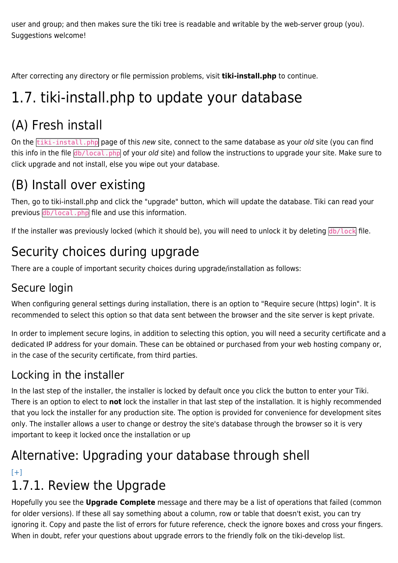user and group; and then makes sure the tiki tree is readable and writable by the web-server group (you). Suggestions welcome!

After correcting any directory or file permission problems, visit **tiki-install.php** to continue.

# 1.7. tiki-install.php to update your database

# (A) Fresh install

On the **tiki-install.php** page of this new site, connect to the same database as your old site (you can find this info in the file db/local.php of your old site) and follow the instructions to upgrade your site. Make sure to click upgrade and not install, else you wipe out your database.

## (B) Install over existing

Then, go to tiki-install.php and click the "upgrade" button, which will update the database. Tiki can read your previous db/local.php file and use this information.

If the installer was previously locked (which it should be), you will need to unlock it by deleting  $db/lock$  file.

### Security choices during upgrade

There are a couple of important security choices during upgrade/installation as follows:

#### Secure login

When configuring general settings during installation, there is an option to "Require secure (https) login". It is recommended to select this option so that data sent between the browser and the site server is kept private.

In order to implement secure logins, in addition to selecting this option, you will need a security certificate and a dedicated IP address for your domain. These can be obtained or purchased from your web hosting company or, in the case of the security certificate, from third parties.

#### Locking in the installer

In the last step of the installer, the installer is locked by default once you click the button to enter your Tiki. There is an option to elect to **not** lock the installer in that last step of the installation. It is highly recommended that you lock the installer for any production site. The option is provided for convenience for development sites only. The installer allows a user to change or destroy the site's database through the browser so it is very important to keep it locked once the installation or up

### Alternative: Upgrading your database through shell  $[+]$

## 1.7.1. Review the Upgrade

Hopefully you see the **Upgrade Complete** message and there may be a list of operations that failed (common for older versions). If these all say something about a column, row or table that doesn't exist, you can try ignoring it. Copy and paste the list of errors for future reference, check the ignore boxes and cross your fingers. When in doubt, refer your questions about upgrade errors to the friendly folk on the tiki-develop list.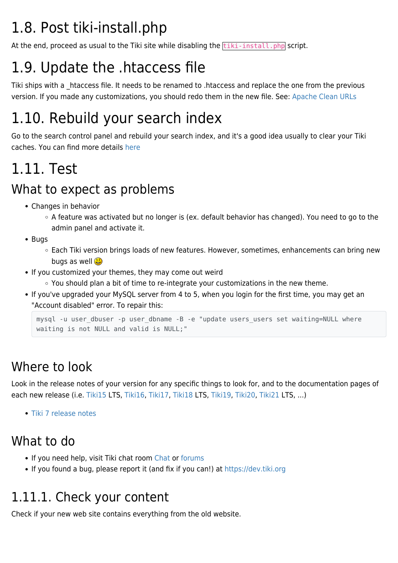# 1.8. Post tiki-install.php

At the end, proceed as usual to the Tiki site while disabling the  $\frac{t}{t}$  tiki-install.php script.

# 1.9. Update the .htaccess file

Tiki ships with a htaccess file. It needs to be renamed to .htaccess and replace the one from the previous version. If you made any customizations, you should redo them in the new file. See: [Apache Clean URLs](https://doc.tiki.org/Apache-Clean-URLs)

# 1.10. Rebuild your search index

Go to the search control panel and rebuild your search index, and it's a good idea usually to clear your Tiki caches. You can find more details [here](https://doc.tiki.org/Search-and-List-from-Unified-Index#Rebuild_search_index)

# 1.11. Test

### What to expect as problems

- Changes in behavior
	- o A feature was activated but no longer is (ex. default behavior has changed). You need to go to the admin panel and activate it.
- Buas
	- Each Tiki version brings loads of new features. However, sometimes, enhancements can bring new bugs as well
- If you customized your themes, they may come out weird
	- $\circ$  You should plan a bit of time to re-integrate your customizations in the new theme.
- If you've upgraded your MySQL server from 4 to 5, when you login for the first time, you may get an "Account disabled" error. To repair this:

```
mysql -u user dbuser -p user dbname -B -e "update users users set waiting=NULL where
waiting is not NULL and valid is NULL;"
```
## Where to look

Look in the release notes of your version for any specific things to look for, and to the documentation pages of each new release (i.e. [Tiki15](https://doc.tiki.org/Tiki15) LTS, [Tiki16](https://doc.tiki.org/Tiki16), [Tiki17](https://doc.tiki.org/Tiki17), [Tiki18](https://doc.tiki.org/Tiki18) LTS, [Tiki19,](https://doc.tiki.org/Tiki19) [Tiki20,](https://doc.tiki.org/Tiki20) [Tiki21](https://doc.tiki.org/Tiki21) LTS, ...)

[Tiki 7 release notes](http://tiki.org/ReleaseNotes7.0)

### What to do

- If you need help, visit Tiki chat room [Chat](http://tiki.org/Chat) or [forums](http://tiki.org/forums)
- If you found a bug, please report it (and fix if you can!) at<https://dev.tiki.org>

### 1.11.1. Check your content

Check if your new web site contains everything from the old website.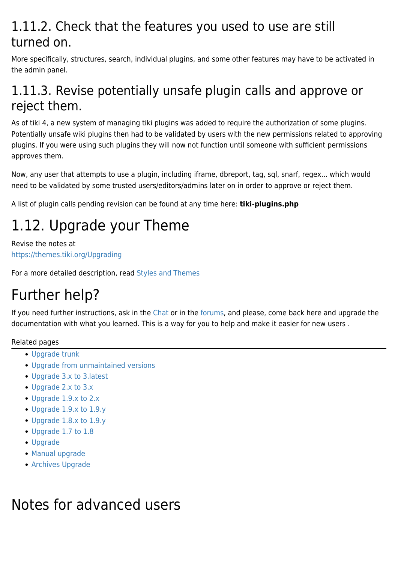### 1.11.2. Check that the features you used to use are still turned on.

More specifically, structures, search, individual plugins, and some other features may have to be activated in the admin panel.

### 1.11.3. Revise potentially unsafe plugin calls and approve or reject them.

As of tiki 4, a new system of managing tiki plugins was added to require the authorization of some plugins. Potentially unsafe wiki plugins then had to be validated by users with the new permissions related to approving plugins. If you were using such plugins they will now not function until someone with sufficient permissions approves them.

Now, any user that attempts to use a plugin, including iframe, dbreport, tag, sql, snarf, regex... which would need to be validated by some trusted users/editors/admins later on in order to approve or reject them.

A list of plugin calls pending revision can be found at any time here: **tiki-plugins.php**

# 1.12. Upgrade your Theme

Revise the notes at <https://themes.tiki.org/Upgrading>

For a more detailed description, read [Styles and Themes](https://doc.tiki.org/Styles-and-Themes)

## Further help?

If you need further instructions, ask in the [Chat](http://tiki.org/Chat) or in the [forums,](https://tiki.org/forum6) and please, come back here and upgrade the documentation with what you learned. This is a way for you to help and make it easier for new users .

Related pages

- [Upgrade trunk](https://doc.tiki.org/Upgrade-trunk)
- [Upgrade from unmaintained versions](https://doc.tiki.org/Upgrade-from-unmaintained-versions)
- [Upgrade 3.x to 3.latest](https://doc.tiki.org/Upgrade-3.x-to-3.latest)
- [Upgrade 2.x to 3.x](https://doc.tiki.org/Upgrade-2.x-to-3.x)
- [Upgrade 1.9.x to 2.x](https://doc.tiki.org/Upgrade-1.9.x-to-2.x)
- [Upgrade 1.9.x to 1.9.y](https://doc.tiki.org/Upgrade-1.9.x-to-1.9.y)
- [Upgrade 1.8.x to 1.9.y](https://doc.tiki.org/Upgrade-1.8.x-to-1.9.y)
- [Upgrade 1.7 to 1.8](https://doc.tiki.org/Upgrade-1.7-to-1.8)
- [Upgrade](https://doc.tiki.org/Upgrade)
- [Manual upgrade](https://doc.tiki.org/Manual-upgrade)
- [Archives Upgrade](https://doc.tiki.org/Archives-Upgrade)

### Notes for advanced users